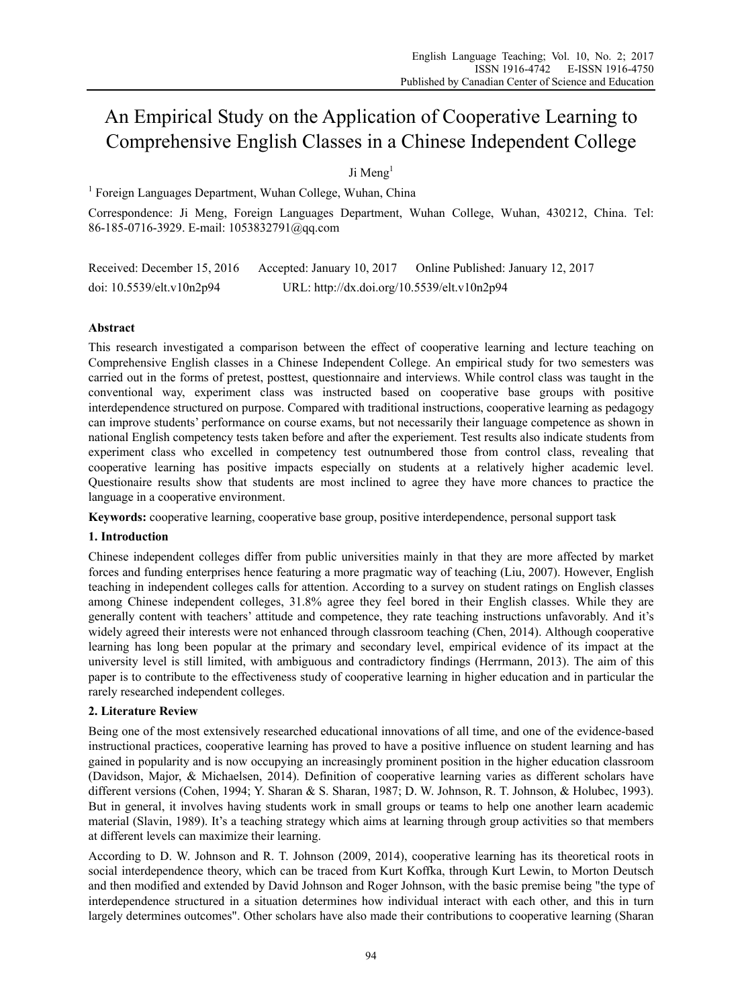# An Empirical Study on the Application of Cooperative Learning to Comprehensive English Classes in a Chinese Independent College

Ji Meng<sup>1</sup>

<sup>1</sup> Foreign Languages Department, Wuhan College, Wuhan, China

Correspondence: Ji Meng, Foreign Languages Department, Wuhan College, Wuhan, 430212, China. Tel: 86-185-0716-3929. E-mail: 1053832791@qq.com

Received: December 15, 2016 Accepted: January 10, 2017 Online Published: January 12, 2017 doi: 10.5539/elt.v10n2p94 URL: http://dx.doi.org/10.5539/elt.v10n2p94

# **Abstract**

This research investigated a comparison between the effect of cooperative learning and lecture teaching on Comprehensive English classes in a Chinese Independent College. An empirical study for two semesters was carried out in the forms of pretest, posttest, questionnaire and interviews. While control class was taught in the conventional way, experiment class was instructed based on cooperative base groups with positive interdependence structured on purpose. Compared with traditional instructions, cooperative learning as pedagogy can improve students' performance on course exams, but not necessarily their language competence as shown in national English competency tests taken before and after the experiement. Test results also indicate students from experiment class who excelled in competency test outnumbered those from control class, revealing that cooperative learning has positive impacts especially on students at a relatively higher academic level. Questionaire results show that students are most inclined to agree they have more chances to practice the language in a cooperative environment.

**Keywords:** cooperative learning, cooperative base group, positive interdependence, personal support task

# **1. Introduction**

Chinese independent colleges differ from public universities mainly in that they are more affected by market forces and funding enterprises hence featuring a more pragmatic way of teaching (Liu, 2007). However, English teaching in independent colleges calls for attention. According to a survey on student ratings on English classes among Chinese independent colleges, 31.8% agree they feel bored in their English classes. While they are generally content with teachers' attitude and competence, they rate teaching instructions unfavorably. And it's widely agreed their interests were not enhanced through classroom teaching (Chen, 2014). Although cooperative learning has long been popular at the primary and secondary level, empirical evidence of its impact at the university level is still limited, with ambiguous and contradictory findings (Herrmann, 2013). The aim of this paper is to contribute to the effectiveness study of cooperative learning in higher education and in particular the rarely researched independent colleges.

# **2. Literature Review**

Being one of the most extensively researched educational innovations of all time, and one of the evidence-based instructional practices, cooperative learning has proved to have a positive influence on student learning and has gained in popularity and is now occupying an increasingly prominent position in the higher education classroom (Davidson, Major, & Michaelsen, 2014). Definition of cooperative learning varies as different scholars have different versions (Cohen, 1994; Y. Sharan & S. Sharan, 1987; D. W. Johnson, R. T. Johnson, & Holubec, 1993). But in general, it involves having students work in small groups or teams to help one another learn academic material (Slavin, 1989). It's a teaching strategy which aims at learning through group activities so that members at different levels can maximize their learning.

According to D. W. Johnson and R. T. Johnson (2009, 2014), cooperative learning has its theoretical roots in social interdependence theory, which can be traced from Kurt Koffka, through Kurt Lewin, to Morton Deutsch and then modified and extended by David Johnson and Roger Johnson, with the basic premise being "the type of interdependence structured in a situation determines how individual interact with each other, and this in turn largely determines outcomes". Other scholars have also made their contributions to cooperative learning (Sharan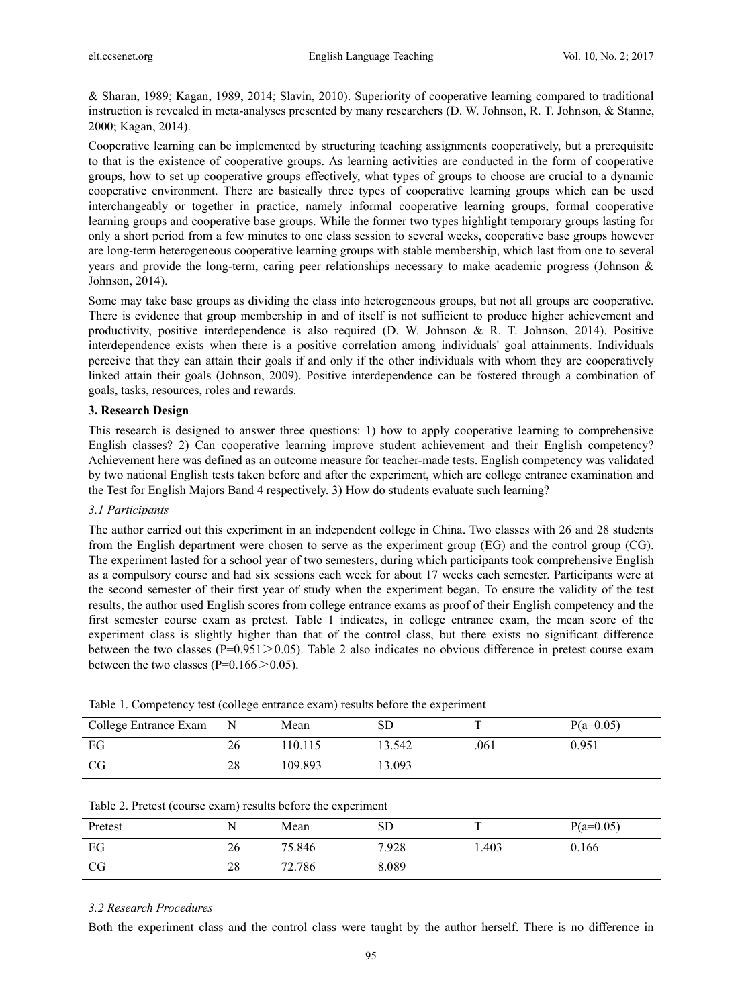& Sharan, 1989; Kagan, 1989, 2014; Slavin, 2010). Superiority of cooperative learning compared to traditional instruction is revealed in meta-analyses presented by many researchers (D. W. Johnson, R. T. Johnson, & Stanne, 2000; Kagan, 2014).

Cooperative learning can be implemented by structuring teaching assignments cooperatively, but a prerequisite to that is the existence of cooperative groups. As learning activities are conducted in the form of cooperative groups, how to set up cooperative groups effectively, what types of groups to choose are crucial to a dynamic cooperative environment. There are basically three types of cooperative learning groups which can be used interchangeably or together in practice, namely informal cooperative learning groups, formal cooperative learning groups and cooperative base groups. While the former two types highlight temporary groups lasting for only a short period from a few minutes to one class session to several weeks, cooperative base groups however are long-term heterogeneous cooperative learning groups with stable membership, which last from one to several years and provide the long-term, caring peer relationships necessary to make academic progress (Johnson & Johnson, 2014).

Some may take base groups as dividing the class into heterogeneous groups, but not all groups are cooperative. There is evidence that group membership in and of itself is not sufficient to produce higher achievement and productivity, positive interdependence is also required (D. W. Johnson & R. T. Johnson, 2014). Positive interdependence exists when there is a positive correlation among individuals' goal attainments. Individuals perceive that they can attain their goals if and only if the other individuals with whom they are cooperatively linked attain their goals (Johnson, 2009). Positive interdependence can be fostered through a combination of goals, tasks, resources, roles and rewards.

#### **3. Research Design**

This research is designed to answer three questions: 1) how to apply cooperative learning to comprehensive English classes? 2) Can cooperative learning improve student achievement and their English competency? Achievement here was defined as an outcome measure for teacher-made tests. English competency was validated by two national English tests taken before and after the experiment, which are college entrance examination and the Test for English Majors Band 4 respectively. 3) How do students evaluate such learning?

### *3.1 Participants*

The author carried out this experiment in an independent college in China. Two classes with 26 and 28 students from the English department were chosen to serve as the experiment group (EG) and the control group (CG). The experiment lasted for a school year of two semesters, during which participants took comprehensive English as a compulsory course and had six sessions each week for about 17 weeks each semester. Participants were at the second semester of their first year of study when the experiment began. To ensure the validity of the test results, the author used English scores from college entrance exams as proof of their English competency and the first semester course exam as pretest. Table 1 indicates, in college entrance exam, the mean score of the experiment class is slightly higher than that of the control class, but there exists no significant difference between the two classes ( $P=0.951>0.05$ ). Table 2 also indicates no obvious difference in pretest course exam between the two classes ( $P=0.166 > 0.05$ ).

| College Entrance Exam N |    | Mean    |        |      | $P(a=0.05)$ |  |  |
|-------------------------|----|---------|--------|------|-------------|--|--|
| EG                      | 26 | 10.115  | 13.542 | .061 | 0.951       |  |  |
| - CG                    | 28 | 109.893 | 13.093 |      |             |  |  |

Table 1. Competency test (college entrance exam) results before the experiment

| Table 2. Pretest (course exam) results before the experiment |  |
|--------------------------------------------------------------|--|
|--------------------------------------------------------------|--|

| Pretest   |    | Mean   | $_{\rm SD}$ |       | $P(a=0.05)$ |
|-----------|----|--------|-------------|-------|-------------|
| EG        | 26 | 75.846 | 7.928       | 1.403 | 0.166       |
| <b>CG</b> | 28 | 72.786 | 8.089       |       |             |

## *3.2 Research Procedures*

Both the experiment class and the control class were taught by the author herself. There is no difference in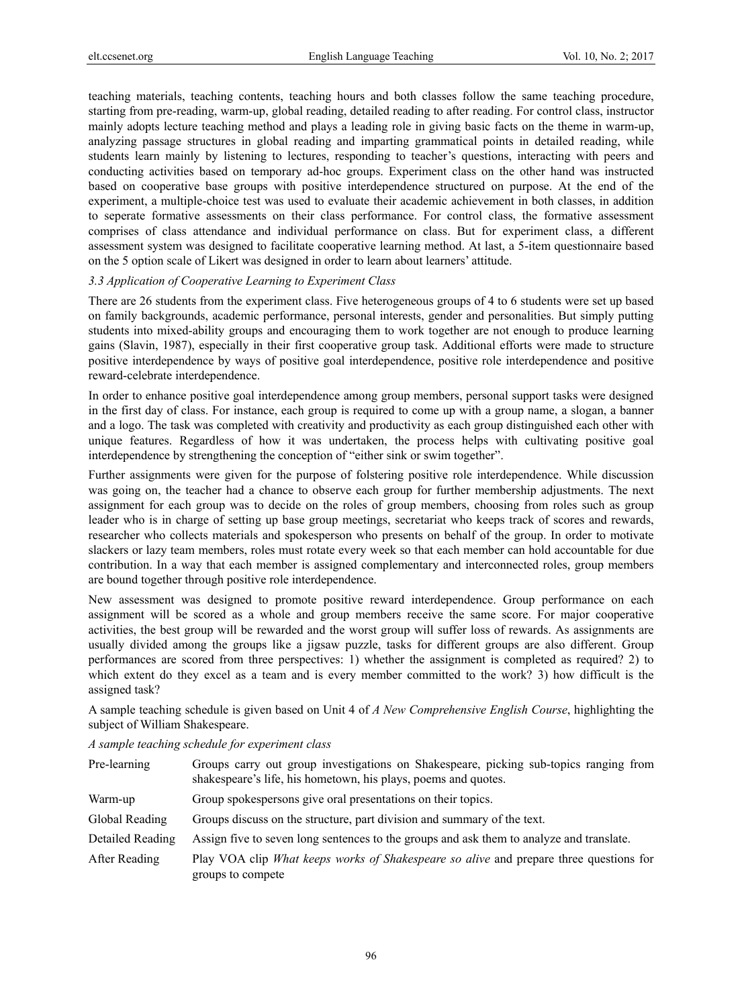teaching materials, teaching contents, teaching hours and both classes follow the same teaching procedure, starting from pre-reading, warm-up, global reading, detailed reading to after reading. For control class, instructor mainly adopts lecture teaching method and plays a leading role in giving basic facts on the theme in warm-up, analyzing passage structures in global reading and imparting grammatical points in detailed reading, while students learn mainly by listening to lectures, responding to teacher's questions, interacting with peers and conducting activities based on temporary ad-hoc groups. Experiment class on the other hand was instructed based on cooperative base groups with positive interdependence structured on purpose. At the end of the experiment, a multiple-choice test was used to evaluate their academic achievement in both classes, in addition to seperate formative assessments on their class performance. For control class, the formative assessment comprises of class attendance and individual performance on class. But for experiment class, a different assessment system was designed to facilitate cooperative learning method. At last, a 5-item questionnaire based on the 5 option scale of Likert was designed in order to learn about learners' attitude.

## *3.3 Application of Cooperative Learning to Experiment Class*

There are 26 students from the experiment class. Five heterogeneous groups of 4 to 6 students were set up based on family backgrounds, academic performance, personal interests, gender and personalities. But simply putting students into mixed-ability groups and encouraging them to work together are not enough to produce learning gains (Slavin, 1987), especially in their first cooperative group task. Additional efforts were made to structure positive interdependence by ways of positive goal interdependence, positive role interdependence and positive reward-celebrate interdependence.

In order to enhance positive goal interdependence among group members, personal support tasks were designed in the first day of class. For instance, each group is required to come up with a group name, a slogan, a banner and a logo. The task was completed with creativity and productivity as each group distinguished each other with unique features. Regardless of how it was undertaken, the process helps with cultivating positive goal interdependence by strengthening the conception of "either sink or swim together".

Further assignments were given for the purpose of folstering positive role interdependence. While discussion was going on, the teacher had a chance to observe each group for further membership adjustments. The next assignment for each group was to decide on the roles of group members, choosing from roles such as group leader who is in charge of setting up base group meetings, secretariat who keeps track of scores and rewards, researcher who collects materials and spokesperson who presents on behalf of the group. In order to motivate slackers or lazy team members, roles must rotate every week so that each member can hold accountable for due contribution. In a way that each member is assigned complementary and interconnected roles, group members are bound together through positive role interdependence.

New assessment was designed to promote positive reward interdependence. Group performance on each assignment will be scored as a whole and group members receive the same score. For major cooperative activities, the best group will be rewarded and the worst group will suffer loss of rewards. As assignments are usually divided among the groups like a jigsaw puzzle, tasks for different groups are also different. Group performances are scored from three perspectives: 1) whether the assignment is completed as required? 2) to which extent do they excel as a team and is every member committed to the work? 3) how difficult is the assigned task?

A sample teaching schedule is given based on Unit 4 of *A New Comprehensive English Course*, highlighting the subject of William Shakespeare.

### *A sample teaching schedule for experiment class*

| Pre-learning     | Groups carry out group investigations on Shakespeare, picking sub-topics ranging from<br>shakespeare's life, his hometown, his plays, poems and quotes. |
|------------------|---------------------------------------------------------------------------------------------------------------------------------------------------------|
| Warm-up          | Group spokespersons give oral presentations on their topics.                                                                                            |
| Global Reading   | Groups discuss on the structure, part division and summary of the text.                                                                                 |
| Detailed Reading | Assign five to seven long sentences to the groups and ask them to analyze and translate.                                                                |
| After Reading    | Play VOA clip What keeps works of Shakespeare so alive and prepare three questions for<br>groups to compete                                             |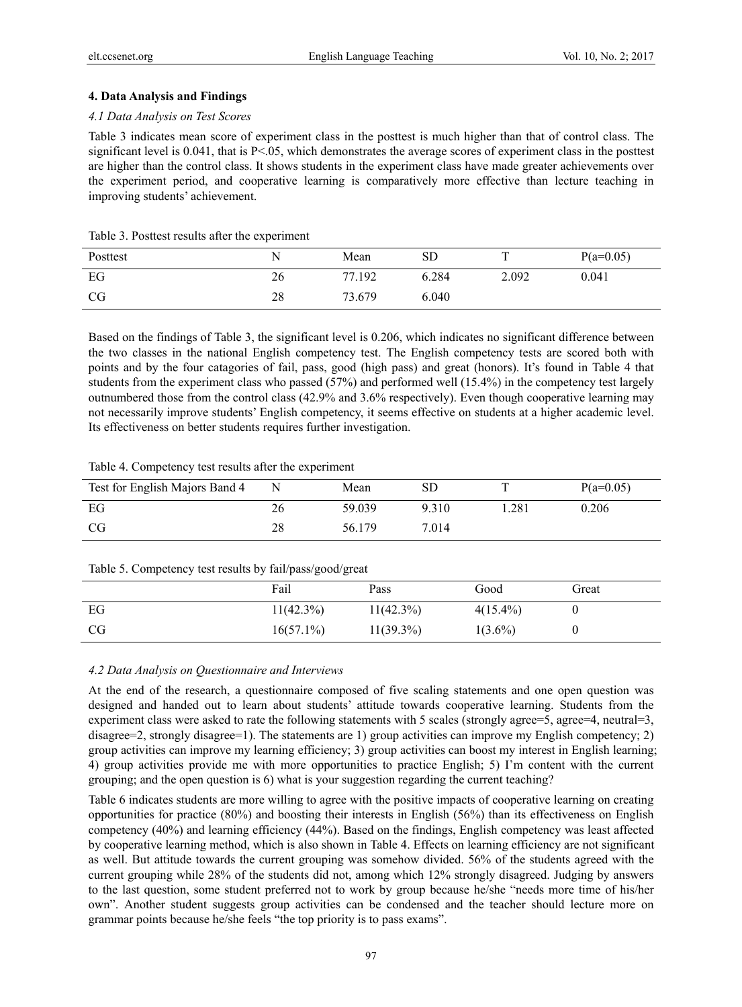## **4. Data Analysis and Findings**

### *4.1 Data Analysis on Test Scores*

Table 3 indicates mean score of experiment class in the posttest is much higher than that of control class. The significant level is  $0.041$ , that is P<.05, which demonstrates the average scores of experiment class in the posttest are higher than the control class. It shows students in the experiment class have made greater achievements over the experiment period, and cooperative learning is comparatively more effective than lecture teaching in improving students' achievement.

| Posttest  | N  | Mean   | SD    | $\sim$ | $P(a=0.05)$ |
|-----------|----|--------|-------|--------|-------------|
| EG        | 26 | 77.192 | 6.284 | 2.092  | 0.041       |
| <b>CG</b> | 28 | 73.679 | 6.040 |        |             |

Table 3. Posttest results after the experiment

Based on the findings of Table 3, the significant level is 0.206, which indicates no significant difference between the two classes in the national English competency test. The English competency tests are scored both with points and by the four catagories of fail, pass, good (high pass) and great (honors). It's found in Table 4 that students from the experiment class who passed (57%) and performed well (15.4%) in the competency test largely outnumbered those from the control class (42.9% and 3.6% respectively). Even though cooperative learning may not necessarily improve students' English competency, it seems effective on students at a higher academic level. Its effectiveness on better students requires further investigation.

#### Table 4. Competency test results after the experiment

| Test for English Majors Band 4 |    | Mean   |       |      | $P(a=0.05)$ |
|--------------------------------|----|--------|-------|------|-------------|
| EG                             |    | 59.039 | 9.310 | .281 | 0.206       |
| <b>CG</b>                      | າເ | 56.179 | 7.014 |      |             |

### Table 5. Competency test results by fail/pass/good/great

|    | Fail         | Pass         | Good        | Great |
|----|--------------|--------------|-------------|-------|
| EG | $11(42.3\%)$ | $11(42.3\%)$ | $4(15.4\%)$ |       |
| CG | $16(57.1\%)$ | $11(39.3\%)$ | $1(3.6\%)$  |       |

### *4.2 Data Analysis on Questionnaire and Interviews*

At the end of the research, a questionnaire composed of five scaling statements and one open question was designed and handed out to learn about students' attitude towards cooperative learning. Students from the experiment class were asked to rate the following statements with 5 scales (strongly agree=5, agree=4, neutral=3, disagree=2, strongly disagree=1). The statements are 1) group activities can improve my English competency; 2) group activities can improve my learning efficiency; 3) group activities can boost my interest in English learning; 4) group activities provide me with more opportunities to practice English; 5) I'm content with the current grouping; and the open question is 6) what is your suggestion regarding the current teaching?

Table 6 indicates students are more willing to agree with the positive impacts of cooperative learning on creating opportunities for practice (80%) and boosting their interests in English (56%) than its effectiveness on English competency (40%) and learning efficiency (44%). Based on the findings, English competency was least affected by cooperative learning method, which is also shown in Table 4. Effects on learning efficiency are not significant as well. But attitude towards the current grouping was somehow divided. 56% of the students agreed with the current grouping while 28% of the students did not, among which 12% strongly disagreed. Judging by answers to the last question, some student preferred not to work by group because he/she "needs more time of his/her own". Another student suggests group activities can be condensed and the teacher should lecture more on grammar points because he/she feels "the top priority is to pass exams".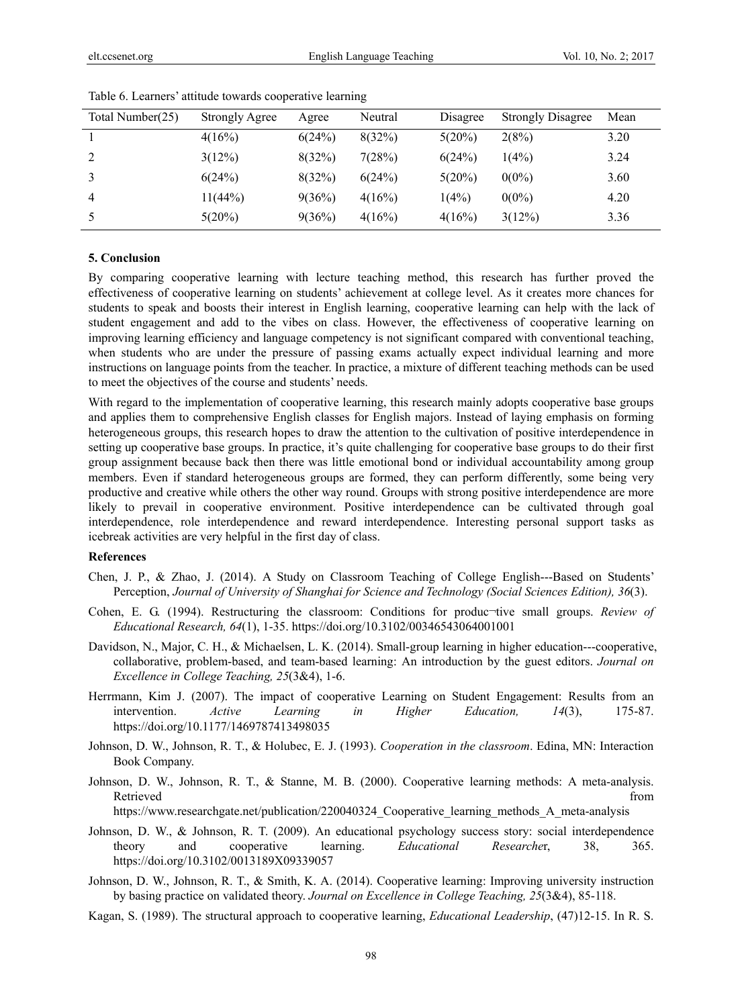| Total Number(25) | Strongly Agree | Agree  | Neutral | Disagree  | <b>Strongly Disagree</b> | Mean |
|------------------|----------------|--------|---------|-----------|--------------------------|------|
|                  | 4(16%)         | 6(24%) | 8(32%)  | $5(20\%)$ | 2(8%)                    | 3.20 |
|                  | 3(12%)         | 8(32%) | 7(28%)  | 6(24%)    | 1(4%)                    | 3.24 |
| 3                | 6(24%)         | 8(32%) | 6(24%)  | $5(20\%)$ | $0(0\%)$                 | 3.60 |
| $\overline{4}$   | 11(44%)        | 9(36%) | 4(16%)  | 1(4%)     | $0(0\%)$                 | 4.20 |
| -5.              | $5(20\%)$      | 9(36%) | 4(16%)  | 4(16%)    | 3(12%)                   | 3.36 |

Table 6. Learners' attitude towards cooperative learning

#### **5. Conclusion**

By comparing cooperative learning with lecture teaching method, this research has further proved the effectiveness of cooperative learning on students' achievement at college level. As it creates more chances for students to speak and boosts their interest in English learning, cooperative learning can help with the lack of student engagement and add to the vibes on class. However, the effectiveness of cooperative learning on improving learning efficiency and language competency is not significant compared with conventional teaching, when students who are under the pressure of passing exams actually expect individual learning and more instructions on language points from the teacher. In practice, a mixture of different teaching methods can be used to meet the objectives of the course and students' needs.

With regard to the implementation of cooperative learning, this research mainly adopts cooperative base groups and applies them to comprehensive English classes for English majors. Instead of laying emphasis on forming heterogeneous groups, this research hopes to draw the attention to the cultivation of positive interdependence in setting up cooperative base groups. In practice, it's quite challenging for cooperative base groups to do their first group assignment because back then there was little emotional bond or individual accountability among group members. Even if standard heterogeneous groups are formed, they can perform differently, some being very productive and creative while others the other way round. Groups with strong positive interdependence are more likely to prevail in cooperative environment. Positive interdependence can be cultivated through goal interdependence, role interdependence and reward interdependence. Interesting personal support tasks as icebreak activities are very helpful in the first day of class.

#### **References**

- Chen, J. P., & Zhao, J. (2014). A Study on Classroom Teaching of College English---Based on Students' Perception, *Journal of University of Shanghai for Science and Technology (Social Sciences Edition), 36*(3).
- Cohen, E. G. (1994). Restructuring the classroom: Conditions for produc-tive small groups. *Review of Educational Research, 64*(1), 1-35. https://doi.org/10.3102/00346543064001001
- Davidson, N., Major, C. H., & Michaelsen, L. K. (2014). Small-group learning in higher education---cooperative, collaborative, problem-based, and team-based learning: An introduction by the guest editors. *Journal on Excellence in College Teaching, 25*(3&4), 1-6.
- Herrmann, Kim J. (2007). The impact of cooperative Learning on Student Engagement: Results from an intervention. *Active Learning in Higher Education, 14*(3), 175-87. https://doi.org/10.1177/1469787413498035
- Johnson, D. W., Johnson, R. T., & Holubec, E. J. (1993). *Cooperation in the classroom*. Edina, MN: Interaction Book Company.
- Johnson, D. W., Johnson, R. T., & Stanne, M. B. (2000). Cooperative learning methods: A meta-analysis. Retrieved that the contract of the contract of the contract of the contract of the contract of the contract of the contract of the contract of the contract of the contract of the contract of the contract of the contract of https://www.researchgate.net/publication/220040324 Cooperative learning methods A meta-analysis
- Johnson, D. W., & Johnson, R. T. (2009). An educational psychology success story: social interdependence theory and cooperative learning. *Educational Researche*r, 38, 365. https://doi.org/10.3102/0013189X09339057
- Johnson, D. W., Johnson, R. T., & Smith, K. A. (2014). Cooperative learning: Improving university instruction by basing practice on validated theory. *Journal on Excellence in College Teaching, 25*(3&4), 85-118.
- Kagan, S. (1989). The structural approach to cooperative learning, *Educational Leadership*, (47)12-15. In R. S.